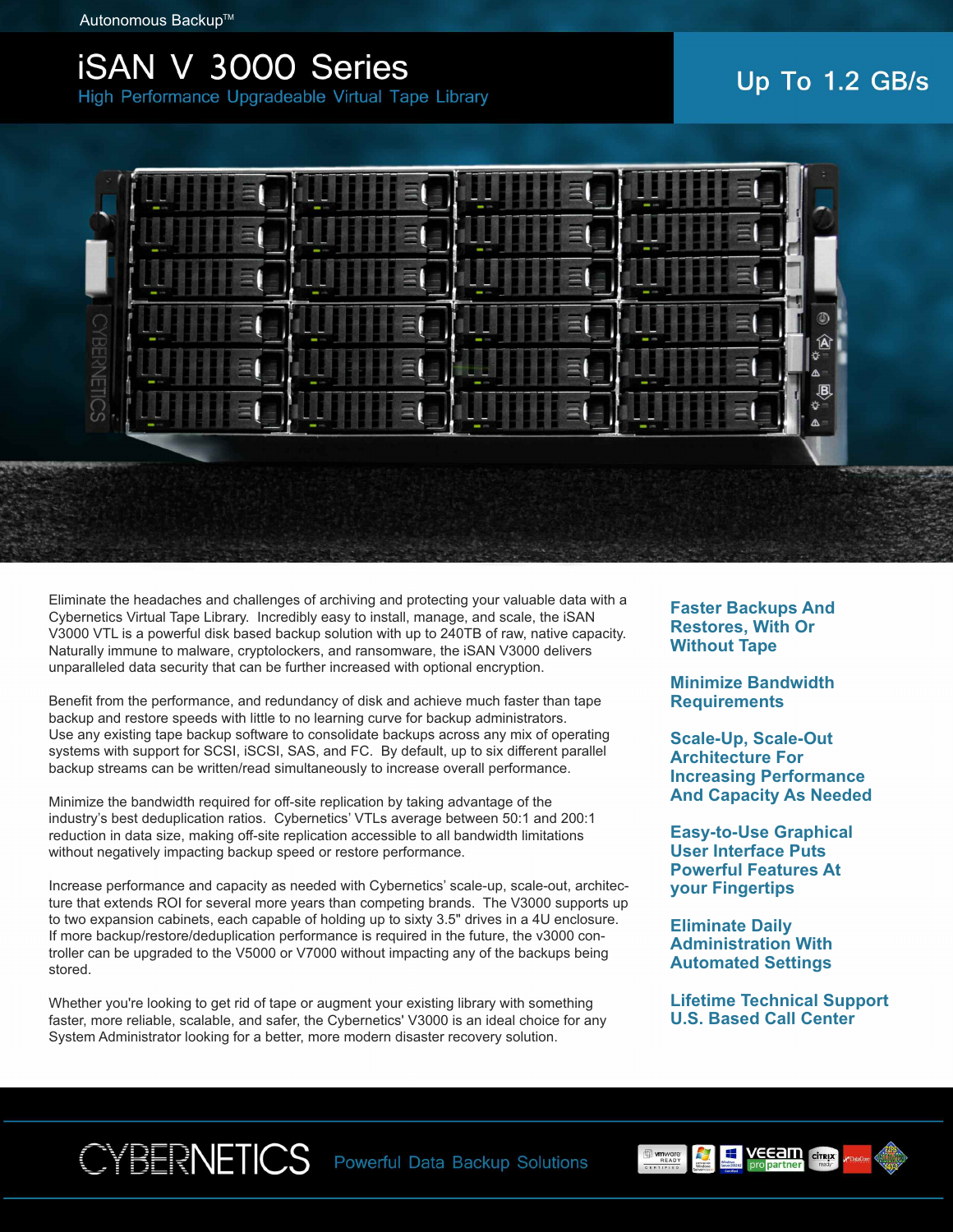## **ISAN V 3000 Series**

High Performance Upgradeable Virtual Tape Library

## Up To 1.2 GB/s



Eliminate the headaches and challenges of archiving and protecting your valuable data with a Cybernetics Virtual Tape Library. Incredibly easy to install, manage, and scale, the iSAN V3000 VTL is a powerful disk based backup solution with up to 240TB of raw, native capacity. Naturally immune to malware, cryptolockers, and ransomware, the iSAN V3000 delivers unparalleled data security that can be further increased with optional encryption.

Benefit from the performance, and redundancy of disk and achieve much faster than tape backup and restore speeds with little to no learning curve for backup administrators. Use any existing tape backup software to consolidate backups across any mix of operating systems with support for SCSI, iSCSI, SAS, and FC. By default, up to six different parallel backup streams can be written/read simultaneously to increase overall performance.

Minimize the bandwidth required for off-site replication by taking advantage of the industry's best deduplication ratios. Cybernetics' VTLs average between 50:1 and 200:1 reduction in data size, making off-site replication accessible to all bandwidth limitations without negatively impacting backup speed or restore performance.

Increase performance and capacity as needed with Cybernetics' scale-up, scale-out, architecture that extends ROI for several more years than competing brands. The V3000 supports up to two expansion cabinets, each capable of holding up to sixty 3.5" drives in a 4U enclosure. If more backup/restore/deduplication performance is required in the future, the v3000 controller can be upgraded to the V5000 or V7000 without impacting any of the backups being stored.

Whether you're looking to get rid of tape or augment your existing library with something faster, more reliable, scalable, and safer, the Cybernetics' V3000 is an ideal choice for any System Administrator looking for a better, more modern disaster recovery solution.

**Faster Backups And Restores, With Or Without Tape**

**Minimize Bandwidth Requirements**

**Scale-Up, Scale-Out Architecture For Increasing Performance And Capacity As Needed**

**Easy-to-Use Graphical User Interface Puts Powerful Features At your Fingertips**

**Eliminate Daily Administration With Automated Settings**

**Lifetime Technical Support U.S. Based Call Center**



Powerful Data Backup Solutions